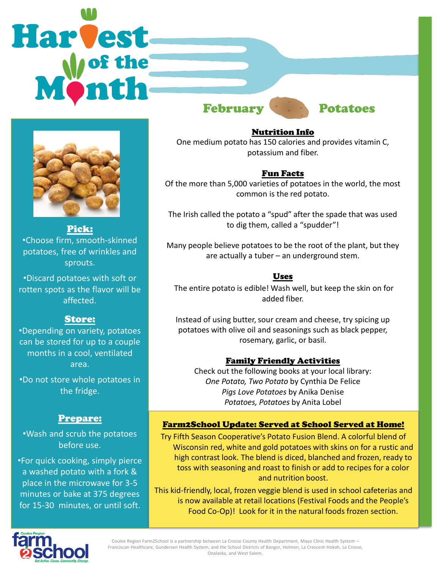# Harvest February **Potatoes**



Pick: •Choose firm, smooth-skinned potatoes, free of wrinkles and sprouts.

•Discard potatoes with soft or rotten spots as the flavor will be affected.

### Store:

•Depending on variety, potatoes can be stored for up to a couple months in a cool, ventilated area.

•Do not store whole potatoes in the fridge.

#### Prepare:

•Wash and scrub the potatoes before use.

•For quick cooking, simply pierce a washed potato with a fork & place in the microwave for 3-5 minutes or bake at 375 degrees for 15-30 minutes, or until soft.

Nutrition Info One medium potato has 150 calories and provides vitamin C, potassium and fiber.

#### Fun Facts

Of the more than 5,000 varieties of potatoes in the world, the most common is the red potato.

The Irish called the potato a "spud" after the spade that was used to dig them, called a "spudder"!

Many people believe potatoes to be the root of the plant, but they are actually a tuber – an underground stem.

#### Uses

The entire potato is edible! Wash well, but keep the skin on for added fiber.

Instead of using butter, sour cream and cheese, try spicing up potatoes with olive oil and seasonings such as black pepper, rosemary, garlic, or basil.

#### Family Friendly Activities

Check out the following books at your local library: *One Potato, Two Potato* by Cynthia De Felice *Pigs Love Potatoes* by Anika Denise *Potatoes, Potatoes* by Anita Lobel

#### Farm2School Update: Served at School Served at Home!

Try Fifth Season Cooperative's Potato Fusion Blend. A colorful blend of Wisconsin red, white and gold potatoes with skins on for a rustic and high contrast look. The blend is diced, blanched and frozen, ready to toss with seasoning and roast to finish or add to recipes for a color and nutrition boost.

This kid-friendly, local, frozen veggie blend is used in school cafeterias and is now available at retail locations (Festival Foods and the People's Food Co-Op)! Look for it in the natural foods frozen section.



Coulee Region Farm2School is a partnership between La Crosse County Health Department, Mayo Clinic Health System – Franciscan Healthcare, Gundersen Health System, and the School Districts of Bangor, Holmen, La Crescent-Hokah, La Crosse, Onalaska, and West Salem.